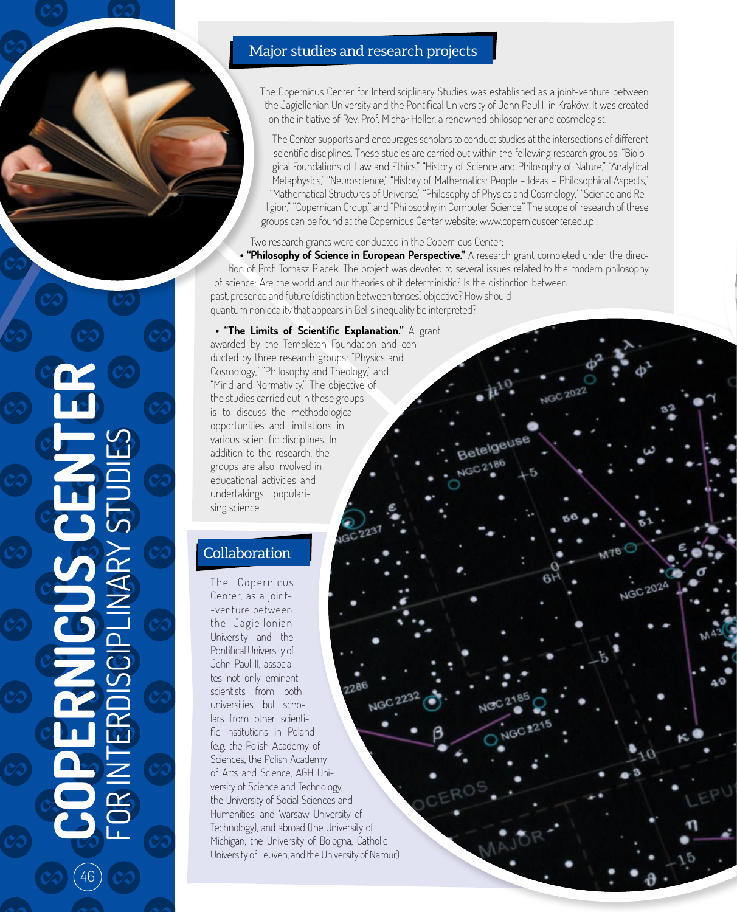# Major studies and research projects

The Copernicus Center for Interdisciplinary Studies was established as a joint-venture between the Jagiellonian University and the Pontifical University of John Paul II in Kraków. It was created on the initiative of Rev. Prof. Michał Heller, a renowned philosopher and cosmologist.

The Center supports and encourages scholars to conduct studies at the intersections of different scientific disciplines. These studies are carried out within the following research groups: "Biological Foundations of Law and Ethics," "History of Science and Philosophy of Nature," "Analytical Metaphysics," "Neuroscience," "History of Mathematics: People - Ideas - Philosophical Aspects," "Mathematical Structures of Universe," "Philosophy of Physics and Cosmology," "Science and Religion," "Copernican Group," and "Philosophy in Computer Science." The scope of research of these groups can be found at the Copernicus Center website: www.copernicuscenter.edu.pl.

Two research grants were conducted in the Copernicus Center:

**• "Philosophy of Science in European Perspective."** A research grant completed under the direction of Prof. Tomasz Placek. The project was devoted to several issues related to the modern philosophy of science: Are the world and our theories of it deterministic? Is the distinction between past, presence and future (distinction between tenses) objective? How should quantum nonlocality that appears in Bell's inequality be interpreted?

 **• "The Limits of Scientific Explanation."** A grant awarded by the Templeton Foundation and conducted by three research groups: "Physics and Cosmology," "Philosophy and Theology," and "Mind and Normativity." The objective of the studies carried out in these groups is to discuss the methodological opportunities and limitations in various scientific disciplines. In addition to the research, the groups are also involved in educational activities and undertakings popularising science.

# **Collaboration**

The Copernicus Center, as a joint- -venture between the Jagiellonian University and the Pontifical University of John Paul II, associates not only eminent scientists from both universities, but scholars from other scientific institutions in Poland (e.g. the Polish Academy of Sciences, the Polish Academy of Arts and Science, AGH University of Science and Technology, the University of Social Sciences and Humanities, and Warsaw University of Technology), and abroad (the University of Michigan, the University of Bologna, Catholic University of Leuven, and the University of Namur).

**COPERNICUS CENTER**  FOR INTERDISCIPLINARY STUDIES LINARY 46